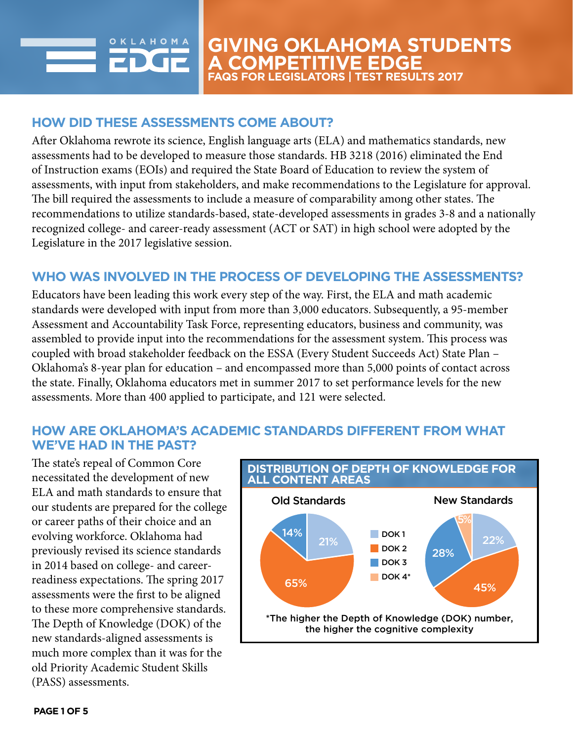

# **HOW DID THESE ASSESSMENTS COME ABOUT?**

After Oklahoma rewrote its science, English language arts (ELA) and mathematics standards, new assessments had to be developed to measure those standards. HB 3218 (2016) eliminated the End of Instruction exams (EOIs) and required the State Board of Education to review the system of assessments, with input from stakeholders, and make recommendations to the Legislature for approval. The bill required the assessments to include a measure of comparability among other states. The recommendations to utilize standards-based, state-developed assessments in grades 3-8 and a nationally recognized college- and career-ready assessment (ACT or SAT) in high school were adopted by the Legislature in the 2017 legislative session.

## **WHO WAS INVOLVED IN THE PROCESS OF DEVELOPING THE ASSESSMENTS?**

Educators have been leading this work every step of the way. First, the ELA and math academic standards were developed with input from more than 3,000 educators. Subsequently, a 95-member Assessment and Accountability Task Force, representing educators, business and community, was assembled to provide input into the recommendations for the assessment system. This process was coupled with broad stakeholder feedback on the ESSA (Every Student Succeeds Act) State Plan – Oklahoma's 8-year plan for education – and encompassed more than 5,000 points of contact across the state. Finally, Oklahoma educators met in summer 2017 to set performance levels for the new assessments. More than 400 applied to participate, and 121 were selected.

# **HOW ARE OKLAHOMA'S ACADEMIC STANDARDS DIFFERENT FROM WHAT WE'VE HAD IN THE PAST?**

The state's repeal of Common Core necessitated the development of new ELA and math standards to ensure that our students are prepared for the college or career paths of their choice and an evolving workforce. Oklahoma had previously revised its science standards in 2014 based on college- and careerreadiness expectations. The spring 2017 assessments were the first to be aligned to these more comprehensive standards. The Depth of Knowledge (DOK) of the new standards-aligned assessments is much more complex than it was for the old Priority Academic Student Skills (PASS) assessments.

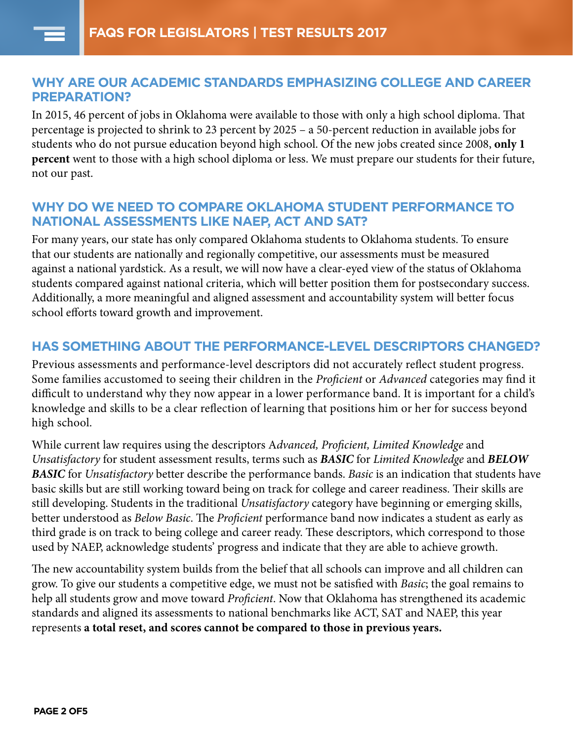## **WHY ARE OUR ACADEMIC STANDARDS EMPHASIZING COLLEGE AND CAREER PREPARATION?**

In 2015, 46 percent of jobs in Oklahoma were available to those with only a high school diploma. That percentage is projected to shrink to 23 percent by 2025 – a 50-percent reduction in available jobs for students who do not pursue education beyond high school. Of the new jobs created since 2008, **only 1 percent** went to those with a high school diploma or less. We must prepare our students for their future, not our past.

## **WHY DO WE NEED TO COMPARE OKLAHOMA STUDENT PERFORMANCE TO NATIONAL ASSESSMENTS LIKE NAEP, ACT AND SAT?**

For many years, our state has only compared Oklahoma students to Oklahoma students. To ensure that our students are nationally and regionally competitive, our assessments must be measured against a national yardstick. As a result, we will now have a clear-eyed view of the status of Oklahoma students compared against national criteria, which will better position them for postsecondary success. Additionally, a more meaningful and aligned assessment and accountability system will better focus school efforts toward growth and improvement.

# **HAS SOMETHING ABOUT THE PERFORMANCE-LEVEL DESCRIPTORS CHANGED?**

Previous assessments and performance-level descriptors did not accurately reflect student progress. Some families accustomed to seeing their children in the *Proficient* or *Advanced* categories may find it difficult to understand why they now appear in a lower performance band. It is important for a child's knowledge and skills to be a clear reflection of learning that positions him or her for success beyond high school.

While current law requires using the descriptors A*dvanced, Proficient, Limited Knowledge* and *Unsatisfactory* for student assessment results, terms such as *BASIC* for *Limited Knowledge* and *BELOW BASIC* for *Unsatisfactory* better describe the performance bands. *Basic* is an indication that students have basic skills but are still working toward being on track for college and career readiness. Their skills are still developing. Students in the traditional *Unsatisfactory* category have beginning or emerging skills, better understood as *Below Basic*. The *Proficient* performance band now indicates a student as early as third grade is on track to being college and career ready. These descriptors, which correspond to those used by NAEP, acknowledge students' progress and indicate that they are able to achieve growth.

The new accountability system builds from the belief that all schools can improve and all children can grow. To give our students a competitive edge, we must not be satisfied with *Basic*; the goal remains to help all students grow and move toward *Proficient*. Now that Oklahoma has strengthened its academic standards and aligned its assessments to national benchmarks like ACT, SAT and NAEP, this year represents **a total reset, and scores cannot be compared to those in previous years.**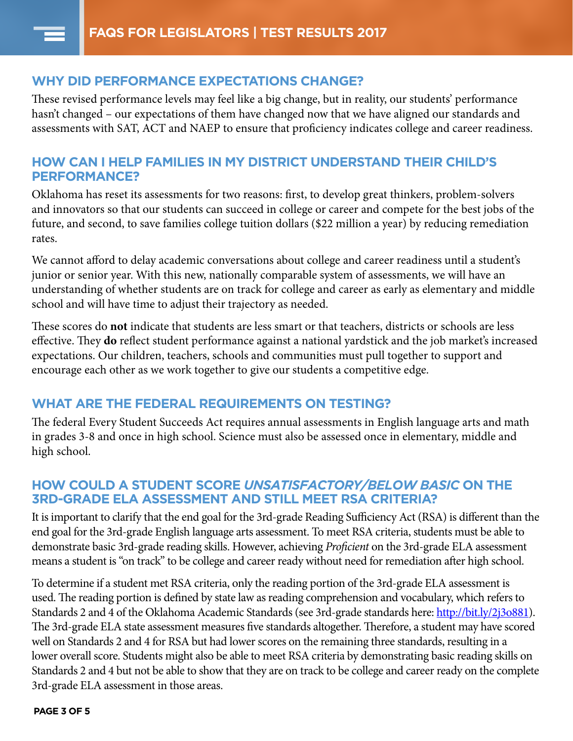#### **WHY DID PERFORMANCE EXPECTATIONS CHANGE?**

These revised performance levels may feel like a big change, but in reality, our students' performance hasn't changed – our expectations of them have changed now that we have aligned our standards and assessments with SAT, ACT and NAEP to ensure that proficiency indicates college and career readiness.

#### **HOW CAN I HELP FAMILIES IN MY DISTRICT UNDERSTAND THEIR CHILD'S PERFORMANCE?**

Oklahoma has reset its assessments for two reasons: first, to develop great thinkers, problem-solvers and innovators so that our students can succeed in college or career and compete for the best jobs of the future, and second, to save families college tuition dollars (\$22 million a year) by reducing remediation rates.

We cannot afford to delay academic conversations about college and career readiness until a student's junior or senior year. With this new, nationally comparable system of assessments, we will have an understanding of whether students are on track for college and career as early as elementary and middle school and will have time to adjust their trajectory as needed.

These scores do **not** indicate that students are less smart or that teachers, districts or schools are less effective. They **do** reflect student performance against a national yardstick and the job market's increased expectations. Our children, teachers, schools and communities must pull together to support and encourage each other as we work together to give our students a competitive edge.

#### **WHAT ARE THE FEDERAL REQUIREMENTS ON TESTING?**

The federal Every Student Succeeds Act requires annual assessments in English language arts and math in grades 3-8 and once in high school. Science must also be assessed once in elementary, middle and high school.

## **HOW COULD A STUDENT SCORE** *UNSATISFACTORY/BELOW BASIC* **ON THE 3RD-GRADE ELA ASSESSMENT AND STILL MEET RSA CRITERIA?**

It is important to clarify that the end goal for the 3rd-grade Reading Sufficiency Act (RSA) is different than the end goal for the 3rd-grade English language arts assessment. To meet RSA criteria, students must be able to demonstrate basic 3rd-grade reading skills. However, achieving *Proficient* on the 3rd-grade ELA assessment means a student is "on track" to be college and career ready without need for remediation after high school.

To determine if a student met RSA criteria, only the reading portion of the 3rd-grade ELA assessment is used. The reading portion is defined by state law as reading comprehension and vocabulary, which refers to Standards 2 and 4 of the Oklahoma Academic Standards (see 3rd-grade standards here: http://bit.ly/2j3o881). The 3rd-grade ELA state assessment measures five standards altogether. Therefore, a student may have scored well on Standards 2 and 4 for RSA but had lower scores on the remaining three standards, resulting in a lower overall score. Students might also be able to meet RSA criteria by demonstrating basic reading skills on Standards 2 and 4 but not be able to show that they are on track to be college and career ready on the complete 3rd-grade ELA assessment in those areas.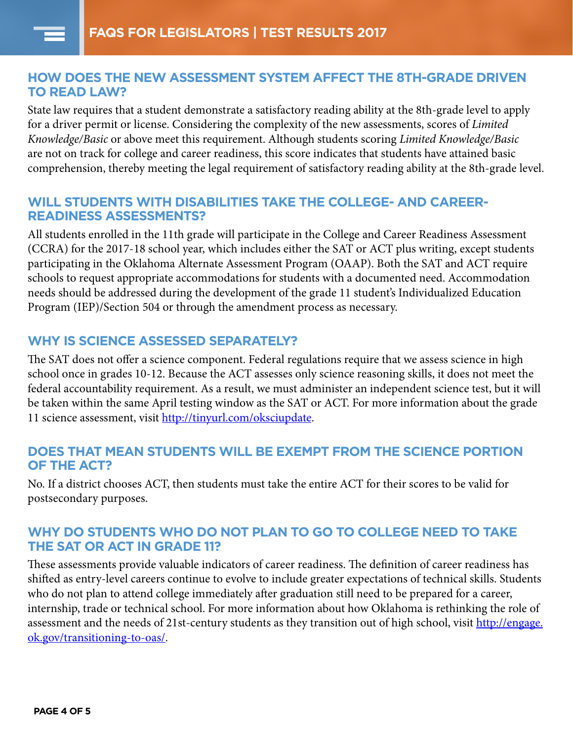#### **HOW DOES THE NEW ASSESSMENT SYSTEM AFFECT THE 8TH-GRADE DRIVEN TO READ LAW?**

State law requires that a student demonstrate a satisfactory reading ability at the 8th-grade level to apply for a driver permit or license. Considering the complexity of the new assessments, scores of *Limited Knowledge/Basic* or above meet this requirement. Although students scoring *Limited Knowledge/Basic*  are not on track for college and career readiness, this score indicates that students have attained basic comprehension, thereby meeting the legal requirement of satisfactory reading ability at the 8th-grade level.

### **WILL STUDENTS WITH DISABILITIES TAKE THE COLLEGE- AND CAREER-READINESS ASSESSMENTS?**

All students enrolled in the 11th grade will participate in the College and Career Readiness Assessment (CCRA) for the 2017-18 school year, which includes either the SAT or ACT plus writing, except students participating in the Oklahoma Alternate Assessment Program (OAAP). Both the SAT and ACT require schools to request appropriate accommodations for students with a documented need. Accommodation needs should be addressed during the development of the grade 11 student's Individualized Education Program (IEP)/Section 504 or through the amendment process as necessary.

## **WHY IS SCIENCE ASSESSED SEPARATELY?**

The SAT does not offer a science component. Federal regulations require that we assess science in high school once in grades 10-12. Because the ACT assesses only science reasoning skills, it does not meet the federal accountability requirement. As a result, we must administer an independent science test, but it will be taken within the same April testing window as the SAT or ACT. For more information about the grade 11 science assessment, visit [http://tinyurl.com/oksciupdate.](http://tinyurl.com/oksciupdate)

## **DOES THAT MEAN STUDENTS WILL BE EXEMPT FROM THE SCIENCE PORTION OF THE ACT?**

No. If a district chooses ACT, then students must take the entire ACT for their scores to be valid for postsecondary purposes.

## **WHY DO STUDENTS WHO DO NOT PLAN TO GO TO COLLEGE NEED TO TAKE THE SAT OR ACT IN GRADE 11?**

These assessments provide valuable indicators of career readiness. The definition of career readiness has shifted as entry-level careers continue to evolve to include greater expectations of technical skills. Students who do not plan to attend college immediately after graduation still need to be prepared for a career, internship, trade or technical school. For more information about how Oklahoma is rethinking the role of assessment and the needs of 21st-century students as they transition out of high school, visit [http://engage.](http://engage.ok.gov/transitioning-to-oas/) [ok.gov/transitioning-to-oas/.](http://engage.ok.gov/transitioning-to-oas/)